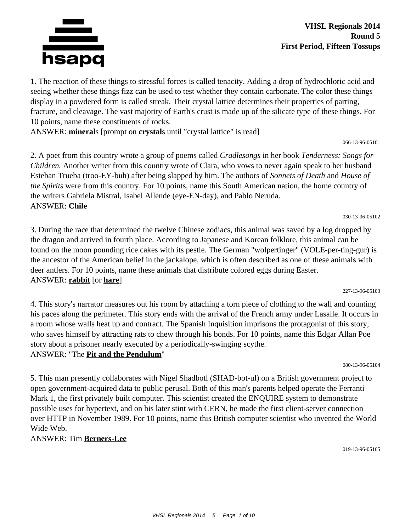

1. The reaction of these things to stressful forces is called tenacity. Adding a drop of hydrochloric acid and seeing whether these things fizz can be used to test whether they contain carbonate. The color these things display in a powdered form is called streak. Their crystal lattice determines their properties of parting, fracture, and cleavage. The vast majority of Earth's crust is made up of the silicate type of these things. For 10 points, name these constituents of rocks.

ANSWER: **mineral**s [prompt on **crystal**s until "crystal lattice" is read]

066-13-96-05101

030-13-96-05102

2. A poet from this country wrote a group of poems called *Cradlesongs* in her book *Tenderness: Songs for Children.* Another writer from this country wrote of Clara, who vows to never again speak to her husband Esteban Trueba (troo-EY-buh) after being slapped by him. The authors of *Sonnets of Death* and *House of the Spirits* were from this country. For 10 points, name this South American nation, the home country of the writers Gabriela Mistral, Isabel Allende (eye-EN-day), and Pablo Neruda. ANSWER: **Chile**

3. During the race that determined the twelve Chinese zodiacs, this animal was saved by a log dropped by the dragon and arrived in fourth place. According to Japanese and Korean folklore, this animal can be found on the moon pounding rice cakes with its pestle. The German "wolpertinger" (VOLE-per-ting-gur) is the ancestor of the American belief in the jackalope, which is often described as one of these animals with deer antlers. For 10 points, name these animals that distribute colored eggs during Easter. ANSWER: **rabbit** [or **hare**]

227-13-96-05103

4. This story's narrator measures out his room by attaching a torn piece of clothing to the wall and counting his paces along the perimeter. This story ends with the arrival of the French army under Lasalle. It occurs in a room whose walls heat up and contract. The Spanish Inquisition imprisons the protagonist of this story, who saves himself by attracting rats to chew through his bonds. For 10 points, name this Edgar Allan Poe story about a prisoner nearly executed by a periodically-swinging scythe. ANSWER: "The **Pit and the Pendulum**"

080-13-96-05104

5. This man presently collaborates with Nigel Shadbotl (SHAD-bot-ul) on a British government project to open government-acquired data to public perusal. Both of this man's parents helped operate the Ferranti Mark 1, the first privately built computer. This scientist created the ENQUIRE system to demonstrate possible uses for hypertext, and on his later stint with CERN, he made the first client-server connection over HTTP in November 1989. For 10 points, name this British computer scientist who invented the World Wide Web.

# ANSWER: Tim **Berners-Lee**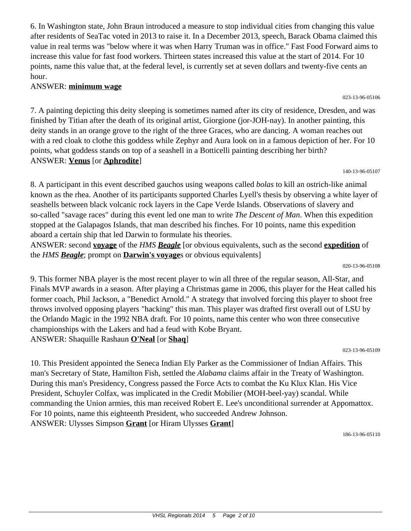6. In Washington state, John Braun introduced a measure to stop individual cities from changing this value after residents of SeaTac voted in 2013 to raise it. In a December 2013, speech, Barack Obama claimed this value in real terms was "below where it was when Harry Truman was in office." Fast Food Forward aims to increase this value for fast food workers. Thirteen states increased this value at the start of 2014. For 10 points, name this value that, at the federal level, is currently set at seven dollars and twenty-five cents an hour.

### ANSWER: **minimum wage**

7. A painting depicting this deity sleeping is sometimes named after its city of residence, Dresden, and was finished by Titian after the death of its original artist, Giorgione (jor-JOH-nay). In another painting, this deity stands in an orange grove to the right of the three Graces, who are dancing. A woman reaches out with a red cloak to clothe this goddess while Zephyr and Aura look on in a famous depiction of her. For 10 points, what goddess stands on top of a seashell in a Botticelli painting describing her birth? ANSWER: **Venus** [or **Aphrodite**]

140-13-96-05107

8. A participant in this event described gauchos using weapons called *bolas* to kill an ostrich-like animal known as the rhea. Another of its participants supported Charles Lyell's thesis by observing a white layer of seashells between black volcanic rock layers in the Cape Verde Islands. Observations of slavery and so-called "savage races" during this event led one man to write *The Descent of Man*. When this expedition stopped at the Galapagos Islands, that man described his finches. For 10 points, name this expedition aboard a certain ship that led Darwin to formulate his theories.

ANSWER: second **voyage** of the *HMS Beagle* [or obvious equivalents, such as the second **expedition** of the *HMS Beagle*; prompt on **Darwin's voyage**s or obvious equivalents]

020-13-96-05108

9. This former NBA player is the most recent player to win all three of the regular season, All-Star, and Finals MVP awards in a season. After playing a Christmas game in 2006, this player for the Heat called his former coach, Phil Jackson, a "Benedict Arnold." A strategy that involved forcing this player to shoot free throws involved opposing players "hacking" this man. This player was drafted first overall out of LSU by the Orlando Magic in the 1992 NBA draft. For 10 points, name this center who won three consecutive championships with the Lakers and had a feud with Kobe Bryant. ANSWER: Shaquille Rashaun **O'Neal** [or **Shaq**]

023-13-96-05109

10. This President appointed the Seneca Indian Ely Parker as the Commissioner of Indian Affairs. This man's Secretary of State, Hamilton Fish, settled the *Alabama* claims affair in the Treaty of Washington. During this man's Presidency, Congress passed the Force Acts to combat the Ku Klux Klan. His Vice President, Schuyler Colfax, was implicated in the Credit Mobilier (MOH-beel-yay) scandal. While commanding the Union armies, this man received Robert E. Lee's unconditional surrender at Appomattox. For 10 points, name this eighteenth President, who succeeded Andrew Johnson. ANSWER: Ulysses Simpson **Grant** [or Hiram Ulysses **Grant**]

186-13-96-05110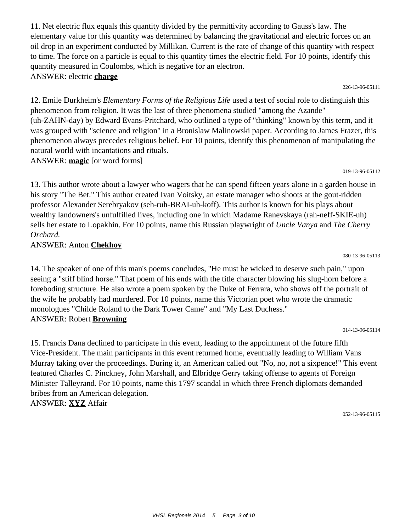11. Net electric flux equals this quantity divided by the permittivity according to Gauss's law. The elementary value for this quantity was determined by balancing the gravitational and electric forces on an oil drop in an experiment conducted by Millikan. Current is the rate of change of this quantity with respect to time. The force on a particle is equal to this quantity times the electric field. For 10 points, identify this quantity measured in Coulombs, which is negative for an electron. ANSWER: electric **charge**

226-13-96-05111

12. Emile Durkheim's *Elementary Forms of the Religious Life* used a test of social role to distinguish this phenomenon from religion. It was the last of three phenomena studied "among the Azande" (uh-ZAHN-day) by Edward Evans-Pritchard, who outlined a type of "thinking" known by this term, and it was grouped with "science and religion" in a Bronislaw Malinowski paper. According to James Frazer, this phenomenon always precedes religious belief. For 10 points, identify this phenomenon of manipulating the natural world with incantations and rituals. ANSWER: **magic** [or word forms]

019-13-96-05112

13. This author wrote about a lawyer who wagers that he can spend fifteen years alone in a garden house in his story "The Bet." This author created Ivan Voitsky, an estate manager who shoots at the gout-ridden professor Alexander Serebryakov (seh-ruh-BRAI-uh-koff). This author is known for his plays about wealthy landowners's unfulfilled lives, including one in which Madame Ranevskaya (rah-neff-SKIE-uh) sells her estate to Lopakhin. For 10 points, name this Russian playwright of *Uncle Vanya* and *The Cherry Orchard.*

#### ANSWER: Anton **Chekhov**

14. The speaker of one of this man's poems concludes, "He must be wicked to deserve such pain," upon seeing a "stiff blind horse." That poem of his ends with the title character blowing his slug-horn before a foreboding structure. He also wrote a poem spoken by the Duke of Ferrara, who shows off the portrait of the wife he probably had murdered. For 10 points, name this Victorian poet who wrote the dramatic monologues "Childe Roland to the Dark Tower Came" and "My Last Duchess." ANSWER: Robert **Browning**

15. Francis Dana declined to participate in this event, leading to the appointment of the future fifth Vice-President. The main participants in this event returned home, eventually leading to William Vans Murray taking over the proceedings. During it, an American called out "No, no, not a sixpence!" This event featured Charles C. Pinckney, John Marshall, and Elbridge Gerry taking offense to agents of Foreign Minister Talleyrand. For 10 points, name this 1797 scandal in which three French diplomats demanded bribes from an American delegation. ANSWER: **XYZ** Affair

052-13-96-05115

#### 080-13-96-05113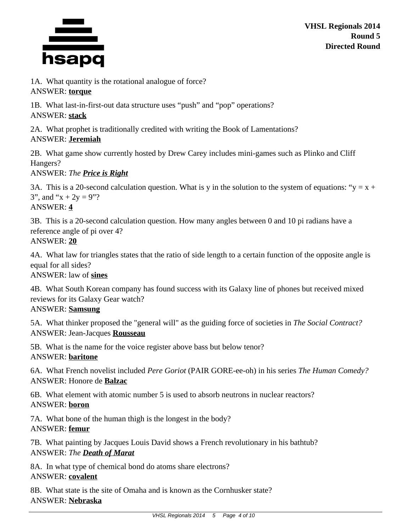

1A. What quantity is the rotational analogue of force? ANSWER: **torque**

1B. What last-in-first-out data structure uses "push" and "pop" operations? ANSWER: **stack**

2A. What prophet is traditionally credited with writing the Book of Lamentations? ANSWER: **Jeremiah**

2B. What game show currently hosted by Drew Carey includes mini-games such as Plinko and Cliff Hangers?

ANSWER: *The Price is Right*

3A. This is a 20-second calculation question. What is y in the solution to the system of equations: " $y = x +$ 3", and " $x + 2y = 9$ "? ANSWER: **4**

3B. This is a 20-second calculation question. How many angles between 0 and 10 pi radians have a reference angle of pi over 4? ANSWER: **20**

4A. What law for triangles states that the ratio of side length to a certain function of the opposite angle is equal for all sides?

ANSWER: law of **sines**

4B. What South Korean company has found success with its Galaxy line of phones but received mixed reviews for its Galaxy Gear watch?

# ANSWER: **Samsung**

5A. What thinker proposed the "general will" as the guiding force of societies in *The Social Contract?* ANSWER: Jean-Jacques **Rousseau**

5B. What is the name for the voice register above bass but below tenor? ANSWER: **baritone**

6A. What French novelist included *Pere Goriot* (PAIR GORE-ee-oh) in his series *The Human Comedy?* ANSWER: Honore de **Balzac**

6B. What element with atomic number 5 is used to absorb neutrons in nuclear reactors? ANSWER: **boron**

7A. What bone of the human thigh is the longest in the body? ANSWER: **femur**

7B. What painting by Jacques Louis David shows a French revolutionary in his bathtub? ANSWER: *The Death of Marat*

8A. In what type of chemical bond do atoms share electrons? ANSWER: **covalent**

8B. What state is the site of Omaha and is known as the Cornhusker state? ANSWER: **Nebraska**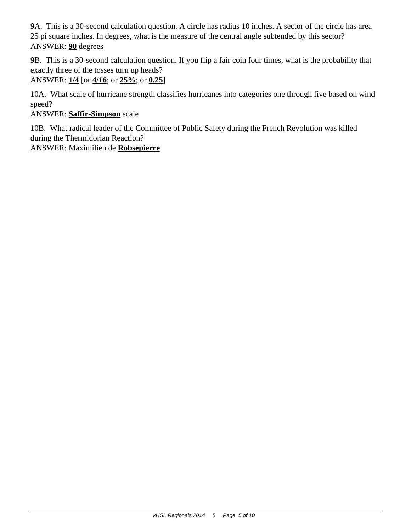9A. This is a 30-second calculation question. A circle has radius 10 inches. A sector of the circle has area 25 pi square inches. In degrees, what is the measure of the central angle subtended by this sector? ANSWER: **90** degrees

9B. This is a 30-second calculation question. If you flip a fair coin four times, what is the probability that exactly three of the tosses turn up heads?

ANSWER: **1/4** [or **4/16**; or **25%**; or **0.25**]

10A. What scale of hurricane strength classifies hurricanes into categories one through five based on wind speed?

# ANSWER: **Saffir-Simpson** scale

10B. What radical leader of the Committee of Public Safety during the French Revolution was killed during the Thermidorian Reaction?

ANSWER: Maximilien de **Robsepierre**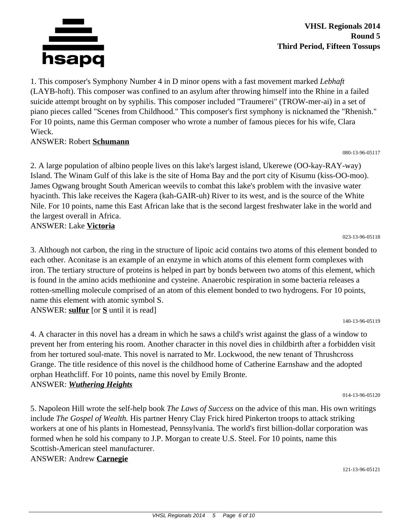

1. This composer's Symphony Number 4 in D minor opens with a fast movement marked *Lebhaft* (LAYB-hoft). This composer was confined to an asylum after throwing himself into the Rhine in a failed suicide attempt brought on by syphilis. This composer included "Traumerei" (TROW-mer-ai) in a set of piano pieces called "Scenes from Childhood." This composer's first symphony is nicknamed the "Rhenish." For 10 points, name this German composer who wrote a number of famous pieces for his wife, Clara Wieck.

### ANSWER: Robert **Schumann**

080-13-96-05117

2. A large population of albino people lives on this lake's largest island, Ukerewe (OO-kay-RAY-way) Island. The Winam Gulf of this lake is the site of Homa Bay and the port city of Kisumu (kiss-OO-moo). James Ogwang brought South American weevils to combat this lake's problem with the invasive water hyacinth. This lake receives the Kagera (kah-GAIR-uh) River to its west, and is the source of the White Nile. For 10 points, name this East African lake that is the second largest freshwater lake in the world and the largest overall in Africa.

ANSWER: Lake **Victoria**

3. Although not carbon, the ring in the structure of lipoic acid contains two atoms of this element bonded to each other. Aconitase is an example of an enzyme in which atoms of this element form complexes with iron. The tertiary structure of proteins is helped in part by bonds between two atoms of this element, which is found in the amino acids methionine and cysteine. Anaerobic respiration in some bacteria releases a rotten-smelling molecule comprised of an atom of this element bonded to two hydrogens. For 10 points, name this element with atomic symbol S. ANSWER: **sulfur** [or **S** until it is read]

140-13-96-05119

023-13-96-05118

4. A character in this novel has a dream in which he saws a child's wrist against the glass of a window to prevent her from entering his room. Another character in this novel dies in childbirth after a forbidden visit from her tortured soul-mate. This novel is narrated to Mr. Lockwood, the new tenant of Thrushcross Grange. The title residence of this novel is the childhood home of Catherine Earnshaw and the adopted orphan Heathcliff. For 10 points, name this novel by Emily Bronte. ANSWER: *Wuthering Heights*

014-13-96-05120

5. Napoleon Hill wrote the self-help book *The Laws of Success* on the advice of this man. His own writings include *The Gospel of Wealth.* His partner Henry Clay Frick hired Pinkerton troops to attack striking workers at one of his plants in Homestead, Pennsylvania. The world's first billion-dollar corporation was formed when he sold his company to J.P. Morgan to create U.S. Steel. For 10 points, name this Scottish-American steel manufacturer.

# ANSWER: Andrew **Carnegie**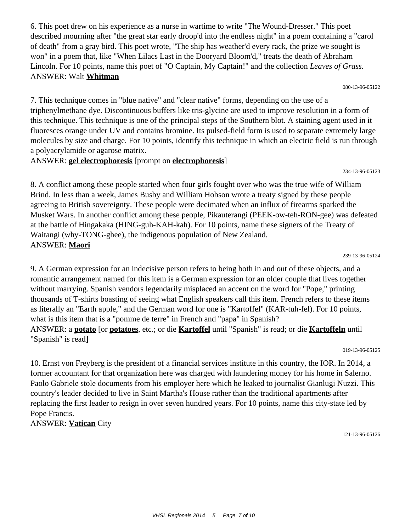6. This poet drew on his experience as a nurse in wartime to write "The Wound-Dresser." This poet described mourning after "the great star early droop'd into the endless night" in a poem containing a "carol of death" from a gray bird. This poet wrote, "The ship has weather'd every rack, the prize we sought is won" in a poem that, like "When Lilacs Last in the Dooryard Bloom'd," treats the death of Abraham Lincoln. For 10 points, name this poet of "O Captain, My Captain!" and the collection *Leaves of Grass.* ANSWER: Walt **Whitman**

080-13-96-05122

7. This technique comes in "blue native" and "clear native" forms, depending on the use of a triphenylmethane dye. Discontinuous buffers like tris-glycine are used to improve resolution in a form of this technique. This technique is one of the principal steps of the Southern blot. A staining agent used in it fluoresces orange under UV and contains bromine. Its pulsed-field form is used to separate extremely large molecules by size and charge. For 10 points, identify this technique in which an electric field is run through a polyacrylamide or agarose matrix.

ANSWER: **gel electrophoresis** [prompt on **electrophoresis**]

234-13-96-05123

8. A conflict among these people started when four girls fought over who was the true wife of William Brind. In less than a week, James Busby and William Hobson wrote a treaty signed by these people agreeing to British sovereignty. These people were decimated when an influx of firearms sparked the Musket Wars. In another conflict among these people, Pikauterangi (PEEK-ow-teh-RON-gee) was defeated at the battle of Hingakaka (HING-guh-KAH-kah). For 10 points, name these signers of the Treaty of Waitangi (why-TONG-ghee), the indigenous population of New Zealand. ANSWER: **Maori**

239-13-96-05124

9. A German expression for an indecisive person refers to being both in and out of these objects, and a romantic arrangement named for this item is a German expression for an older couple that lives together without marrying. Spanish vendors legendarily misplaced an accent on the word for "Pope," printing thousands of T-shirts boasting of seeing what English speakers call this item. French refers to these items as literally an "Earth apple," and the German word for one is "Kartoffel" (KAR-tuh-fel). For 10 points, what is this item that is a "pomme de terre" in French and "papa" in Spanish? ANSWER: a **potato** [or **potatoes**, etc.; or die **Kartoffel** until "Spanish" is read; or die **Kartoffeln** until "Spanish" is read]

019-13-96-05125

10. Ernst von Freyberg is the president of a financial services institute in this country, the IOR. In 2014, a former accountant for that organization here was charged with laundering money for his home in Salerno. Paolo Gabriele stole documents from his employer here which he leaked to journalist Gianlugi Nuzzi. This country's leader decided to live in Saint Martha's House rather than the traditional apartments after replacing the first leader to resign in over seven hundred years. For 10 points, name this city-state led by Pope Francis.

ANSWER: **Vatican** City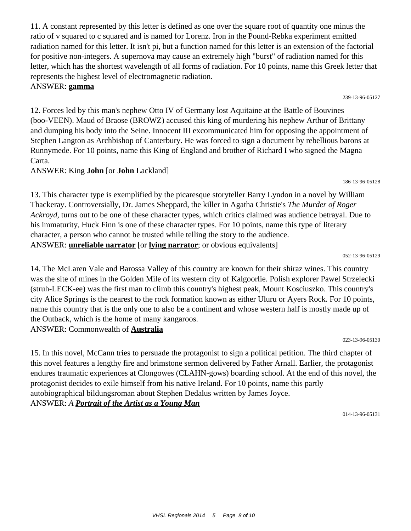11. A constant represented by this letter is defined as one over the square root of quantity one minus the ratio of v squared to c squared and is named for Lorenz. Iron in the Pound-Rebka experiment emitted radiation named for this letter. It isn't pi, but a function named for this letter is an extension of the factorial for positive non-integers. A supernova may cause an extremely high "burst" of radiation named for this letter, which has the shortest wavelength of all forms of radiation. For 10 points, name this Greek letter that represents the highest level of electromagnetic radiation. ANSWER: **gamma**

12. Forces led by this man's nephew Otto IV of Germany lost Aquitaine at the Battle of Bouvines (boo-VEEN). Maud of Braose (BROWZ) accused this king of murdering his nephew Arthur of Brittany and dumping his body into the Seine. Innocent III excommunicated him for opposing the appointment of Stephen Langton as Archbishop of Canterbury. He was forced to sign a document by rebellious barons at Runnymede. For 10 points, name this King of England and brother of Richard I who signed the Magna Carta.

ANSWER: King **John** [or **John** Lackland]

13. This character type is exemplified by the picaresque storyteller Barry Lyndon in a novel by William Thackeray. Controversially, Dr. James Sheppard, the killer in Agatha Christie's *The Murder of Roger Ackroyd,* turns out to be one of these character types, which critics claimed was audience betrayal. Due to his immaturity, Huck Finn is one of these character types. For 10 points, name this type of literary character, a person who cannot be trusted while telling the story to the audience. ANSWER: **unreliable narrator** [or **lying narrator**; or obvious equivalents]

052-13-96-05129

14. The McLaren Vale and Barossa Valley of this country are known for their shiraz wines. This country was the site of mines in the Golden Mile of its western city of Kalgoorlie. Polish explorer Pawel Strzelecki (struh-LECK-ee) was the first man to climb this country's highest peak, Mount Kosciuszko. This country's city Alice Springs is the nearest to the rock formation known as either Uluru or Ayers Rock. For 10 points, name this country that is the only one to also be a continent and whose western half is mostly made up of the Outback, which is the home of many kangaroos. ANSWER: Commonwealth of **Australia**

023-13-96-05130

15. In this novel, McCann tries to persuade the protagonist to sign a political petition. The third chapter of this novel features a lengthy fire and brimstone sermon delivered by Father Arnall. Earlier, the protagonist endures traumatic experiences at Clongowes (CLAHN-gows) boarding school. At the end of this novel, the protagonist decides to exile himself from his native Ireland. For 10 points, name this partly autobiographical bildungsroman about Stephen Dedalus written by James Joyce. ANSWER: *A Portrait of the Artist as a Young Man*

014-13-96-05131

#### 239-13-96-05127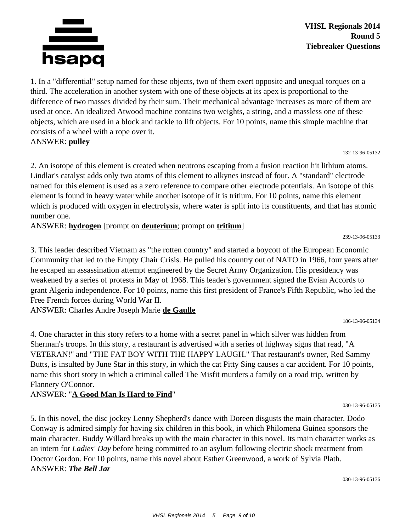

1. In a "differential" setup named for these objects, two of them exert opposite and unequal torques on a third. The acceleration in another system with one of these objects at its apex is proportional to the difference of two masses divided by their sum. Their mechanical advantage increases as more of them are used at once. An idealized Atwood machine contains two weights, a string, and a massless one of these objects, which are used in a block and tackle to lift objects. For 10 points, name this simple machine that consists of a wheel with a rope over it. ANSWER: **pulley**

132-13-96-05132

2. An isotope of this element is created when neutrons escaping from a fusion reaction hit lithium atoms. Lindlar's catalyst adds only two atoms of this element to alkynes instead of four. A "standard" electrode named for this element is used as a zero reference to compare other electrode potentials. An isotope of this element is found in heavy water while another isotope of it is tritium. For 10 points, name this element which is produced with oxygen in electrolysis, where water is split into its constituents, and that has atomic number one.

ANSWER: **hydrogen** [prompt on **deuterium**; prompt on **tritium**]

239-13-96-05133

3. This leader described Vietnam as "the rotten country" and started a boycott of the European Economic Community that led to the Empty Chair Crisis. He pulled his country out of NATO in 1966, four years after he escaped an assassination attempt engineered by the Secret Army Organization. His presidency was weakened by a series of protests in May of 1968. This leader's government signed the Evian Accords to grant Algeria independence. For 10 points, name this first president of France's Fifth Republic, who led the Free French forces during World War II.

ANSWER: Charles Andre Joseph Marie **de Gaulle**

4. One character in this story refers to a home with a secret panel in which silver was hidden from Sherman's troops. In this story, a restaurant is advertised with a series of highway signs that read, "A VETERAN!" and "THE FAT BOY WITH THE HAPPY LAUGH." That restaurant's owner, Red Sammy Butts, is insulted by June Star in this story, in which the cat Pitty Sing causes a car accident. For 10 points, name this short story in which a criminal called The Misfit murders a family on a road trip, written by Flannery O'Connor.

# ANSWER: "**A Good Man Is Hard to Find**"

030-13-96-05135

186-13-96-05134

5. In this novel, the disc jockey Lenny Shepherd's dance with Doreen disgusts the main character. Dodo Conway is admired simply for having six children in this book, in which Philomena Guinea sponsors the main character. Buddy Willard breaks up with the main character in this novel. Its main character works as an intern for *Ladies' Day* before being committed to an asylum following electric shock treatment from Doctor Gordon. For 10 points, name this novel about Esther Greenwood, a work of Sylvia Plath. ANSWER: *The Bell Jar*